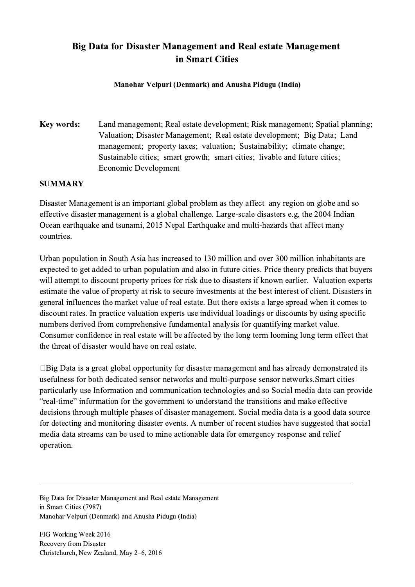## Big Data for Disaster Management and Real estate Management in Smart Cities

## Manohar Velpuri (Denmark) and Anusha Pidugu (India)

Key words: Land management; Real estate development; Risk management; Spatial planning; Valuation; Disaster Management; Real estate development; Big Data; Land management; property taxes; valuation; Sustainability; climate change; Sustainable cities; smart growth; smart cities; livable and future cities; Economic Development

## SUMMARY

Disaster Management is an important global problem as they affect any region on globe and so effective disaster management is a global challenge. Large-scale disasters e.g, the 2004 Indian Ocean earthquake and tsunami, 2015 Nepal Earthquake and multi-hazards that affect many countries.

Urban population in South Asia has increased to 130 million and over 300 million inhabitants are expected to get added to urban population and also in future cities. Price theory predicts that buyers will attempt to discount property prices for risk due to disasters if known earlier. Valuation experts estimate the value of property at risk to secure investments at the best interest of client. Disasters in general influences the market value of real estate. But there exists a large spread when it comes to discount rates. In practice valuation experts use individual loadings or discounts by using specific numbers derived from comprehensive fundamental analysis for quantifying market value. Consumer confidence in real estate will be affected by the long term looming long term effect that the threat of disaster would have on real estate.

 $\Box$ Big Data is a great global opportunity for disaster management and has already demonstrated its usefulness for both dedicated sensor networks and multi-purpose sensor networks.Smart cities particularly use Information and communication technologies and so Social media data can provide "real-time" information for the government to understand the transitions and make effective decisions through multiple phases of disaster management. Social media data is a good data source for detecting and monitoring disaster events. A number of recent studies have suggested that social media data streams can be used to mine actionable data for emergency response and relief operation.

 $\mathcal{L}_\mathcal{L} = \{ \mathcal{L}_\mathcal{L} = \{ \mathcal{L}_\mathcal{L} = \{ \mathcal{L}_\mathcal{L} = \{ \mathcal{L}_\mathcal{L} = \{ \mathcal{L}_\mathcal{L} = \{ \mathcal{L}_\mathcal{L} = \{ \mathcal{L}_\mathcal{L} = \{ \mathcal{L}_\mathcal{L} = \{ \mathcal{L}_\mathcal{L} = \{ \mathcal{L}_\mathcal{L} = \{ \mathcal{L}_\mathcal{L} = \{ \mathcal{L}_\mathcal{L} = \{ \mathcal{L}_\mathcal{L} = \{ \mathcal{L}_\mathcal{$ 

Big Data for Disaster Management and Real estate Management in Smart Cities (7987) Manohar Velpuri (Denmark) and Anusha Pidugu (India)

FIG Working Week 2016 Recovery from Disaster Christchurch, New Zealand, May 2–6, 2016